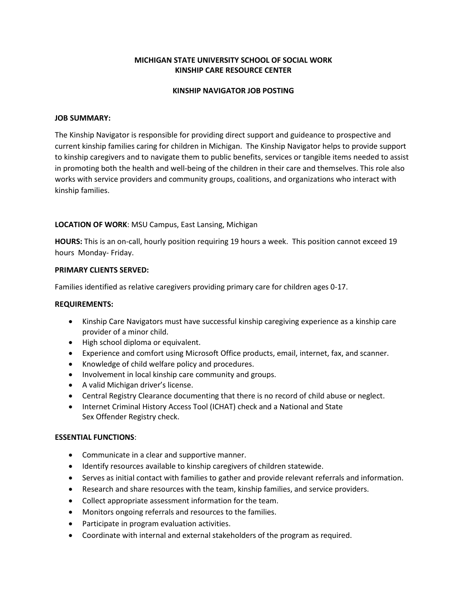# **MICHIGAN STATE UNIVERSITY SCHOOL OF SOCIAL WORK KINSHIP CARE RESOURCE CENTER**

## **KINSHIP NAVIGATOR JOB POSTING**

## **JOB SUMMARY:**

The Kinship Navigator is responsible for providing direct support and guideance to prospective and current kinship families caring for children in Michigan. The Kinship Navigator helps to provide support to kinship caregivers and to navigate them to public benefits, services or tangible items needed to assist in promoting both the health and well-being of the children in their care and themselves. This role also works with service providers and community groups, coalitions, and organizations who interact with kinship families.

# **LOCATION OF WORK**: MSU Campus, East Lansing, Michigan

**HOURS:** This is an on-call, hourly position requiring 19 hours a week. This position cannot exceed 19 hours Monday- Friday.

# **PRIMARY CLIENTS SERVED:**

Families identified as relative caregivers providing primary care for children ages 0-17.

## **REQUIREMENTS:**

- Kinship Care Navigators must have successful kinship caregiving experience as a kinship care provider of a minor child.
- High school diploma or equivalent.
- Experience and comfort using Microsoft Office products, email, internet, fax, and scanner.
- Knowledge of child welfare policy and procedures.
- Involvement in local kinship care community and groups.
- A valid Michigan driver's license.
- Central Registry Clearance documenting that there is no record of child abuse or neglect.
- Internet Criminal History Access Tool (ICHAT) check and a National and State Sex Offender Registry check.

#### **ESSENTIAL FUNCTIONS**:

- Communicate in a clear and supportive manner.
- Identify resources available to kinship caregivers of children statewide.
- Serves as initial contact with families to gather and provide relevant referrals and information.
- Research and share resources with the team, kinship families, and service providers.
- Collect appropriate assessment information for the team.
- Monitors ongoing referrals and resources to the families.
- Participate in program evaluation activities.
- Coordinate with internal and external stakeholders of the program as required.